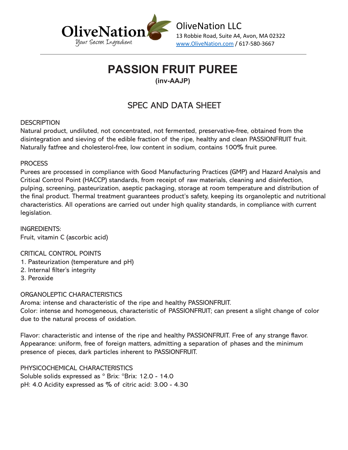

### **PASSION FRUIT PUREE**

### **(inv-AAJP)**

### SPEC AND DATA SHEET

### **DESCRIPTION**

Natural product, undiluted, not concentrated, not fermented, preservative-free, obtained from the disintegration and sieving of the edible fraction of the ripe, healthy and clean PASSIONFRUIT fruit. Naturally fatfree and cholesterol-free, low content in sodium, contains 100% fruit puree.

### **PROCESS**

Purees are processed in compliance with Good Manufacturing Practices (GMP) and Hazard Analysis and Critical Control Point (HACCP) standards, from receipt of raw materials, cleaning and disinfection, pulping, screening, pasteurization, aseptic packaging, storage at room temperature and distribution of the final product. Thermal treatment guarantees product's safety, keeping its organoleptic and nutritional characteristics. All operations are carried out under high quality standards, in compliance with current legislation.

INGREDIENTS: Fruit, vitamin C (ascorbic acid)

CRITICAL CONTROL POINTS

- 1. Pasteurization (temperature and pH)
- 2. Internal filter's integrity
- 3. Peroxide

### ORGANOLEPTIC CHARACTERISTICS

Aroma: intense and characteristic of the ripe and healthy PASSIONFRUIT. Color: intense and homogeneous, characteristic of PASSIONFRUIT; can present a slight change of color due to the natural process of oxidation.

Flavor: characteristic and intense of the ripe and healthy PASSIONFRUIT. Free of any strange flavor. Appearance: uniform, free of foreign matters, admitting a separation of phases and the minimum presence of pieces, dark particles inherent to PASSIONFRUIT.

PHYSICOCHEMICAL CHARACTERISTICS Soluble solids expressed as ° Brix: °Brix: 12.0 - 14.0 pH: 4.0 Acidity expressed as % of citric acid: 3.00 - 4.30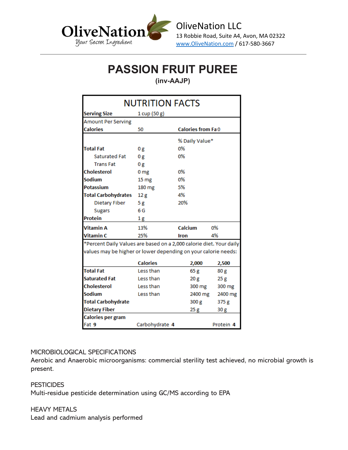

# **PASSION FRUIT PUREE**

**(inv-AAJP)**

| NUTRITION FACTS                                                                                                                                                            |                  |                          |                 |
|----------------------------------------------------------------------------------------------------------------------------------------------------------------------------|------------------|--------------------------|-----------------|
| <b>Serving Size</b>                                                                                                                                                        | 1 cup(50 g)      |                          |                 |
| <b>Amount Per Serving</b>                                                                                                                                                  |                  |                          |                 |
| <b>Calories</b>                                                                                                                                                            | 50               | <b>Calories from Fa0</b> |                 |
|                                                                                                                                                                            |                  | % Daily Value*           |                 |
| <b>Total Fat</b>                                                                                                                                                           | 0g               | 0%                       |                 |
| <b>Saturated Fat</b>                                                                                                                                                       | 0g               | 0%                       |                 |
| <b>TransFat</b>                                                                                                                                                            | 0g               |                          |                 |
| Cholesterol                                                                                                                                                                | 0 <sub>mg</sub>  | 0%                       |                 |
| <b>Sodium</b>                                                                                                                                                              | 15 <sub>mg</sub> | 0%                       |                 |
| Potassium                                                                                                                                                                  | 180 mg           | 5%                       |                 |
| <b>Total Carbohydrates</b>                                                                                                                                                 | 12g              | 4%                       |                 |
| <b>Dietary Fiber</b>                                                                                                                                                       | 5 g              | 20%                      |                 |
| <b>Sugars</b>                                                                                                                                                              | 6 G              |                          |                 |
| Protein                                                                                                                                                                    | 1g               |                          |                 |
| <b>Vitamin A</b>                                                                                                                                                           | 13%              | Calcium                  | 0%              |
| <b>Vitamin C</b>                                                                                                                                                           | 25%              | <b>Iron</b>              | 4%              |
| *Percent Daily Values are based on a 2,000 calorie diet. Your daily<br>values may be higher or lower depending on your calorie needs:<br><b>Calories</b><br>2,000<br>2,500 |                  |                          |                 |
| <b>Total Fat</b>                                                                                                                                                           | Less than        | 65g                      | 80 g            |
| <b>Saturated Fat</b>                                                                                                                                                       | Less than        | 20 g                     | 25 <sub>g</sub> |
| <b>Cholesterol</b>                                                                                                                                                         | Less than        | 300 mg                   | 300 mg          |
| Sodium                                                                                                                                                                     | Less than        | 2400 mg                  | 2400 mg         |
| <b>Total Carbohydrate</b>                                                                                                                                                  |                  | 300 <sub>g</sub>         | 375 g           |
| <b>Dietary Fiber</b>                                                                                                                                                       |                  | 25 <sub>g</sub>          | 30 g            |
| Calories per gram                                                                                                                                                          |                  |                          |                 |
| Fat 9                                                                                                                                                                      | Carbohydrate 4   |                          | Protein 4       |

#### MICROBIOLOGICAL SPECIFICATIONS

Aerobic and Anaerobic microorganisms: commercial sterility test achieved, no microbial growth is present.

**PESTICIDES** Multi-residue pesticide determination using GC/MS according to EPA

HEAVY METALS Lead and cadmium analysis performed